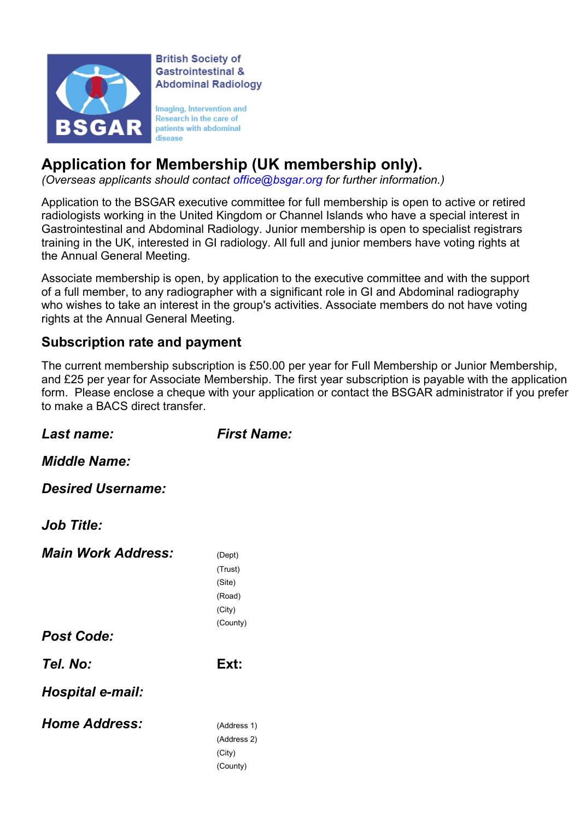

**British Society of** Gastrointestinal & **Abdominal Radiology** 

Imaging, Intervention and Research in the care of patients with abdominal disease

# Application for Membership (UK membership only).

(Overseas applicants should contact office@bsgar.org for further information.)

Application to the BSGAR executive committee for full membership is open to active or retired radiologists working in the United Kingdom or Channel Islands who have a special interest in Gastrointestinal and Abdominal Radiology. Junior membership is open to specialist registrars training in the UK, interested in GI radiology. All full and junior members have voting rights at the Annual General Meeting.

Associate membership is open, by application to the executive committee and with the support of a full member, to any radiographer with a significant role in GI and Abdominal radiography who wishes to take an interest in the group's activities. Associate members do not have voting rights at the Annual General Meeting.

#### Subscription rate and payment

The current membership subscription is £50.00 per year for Full Membership or Junior Membership, and £25 per year for Associate Membership. The first year subscription is payable with the application form. Please enclose a cheque with your application or contact the BSGAR administrator if you prefer to make a BACS direct transfer.

Last name: First Name:

Middle Name:

Desired Username:

Job Title:

| <b>Main Work Address:</b> | (Dept)      |
|---------------------------|-------------|
|                           | (Trust)     |
|                           | (Site)      |
|                           | (Road)      |
|                           | (City)      |
|                           | (County)    |
| <b>Post Code:</b>         |             |
| Tel. No:                  | Ext:        |
| Hospital e-mail:          |             |
| <b>Home Address:</b>      | (Address 1) |
|                           | (Address 2) |
|                           | (City)      |
|                           | (County)    |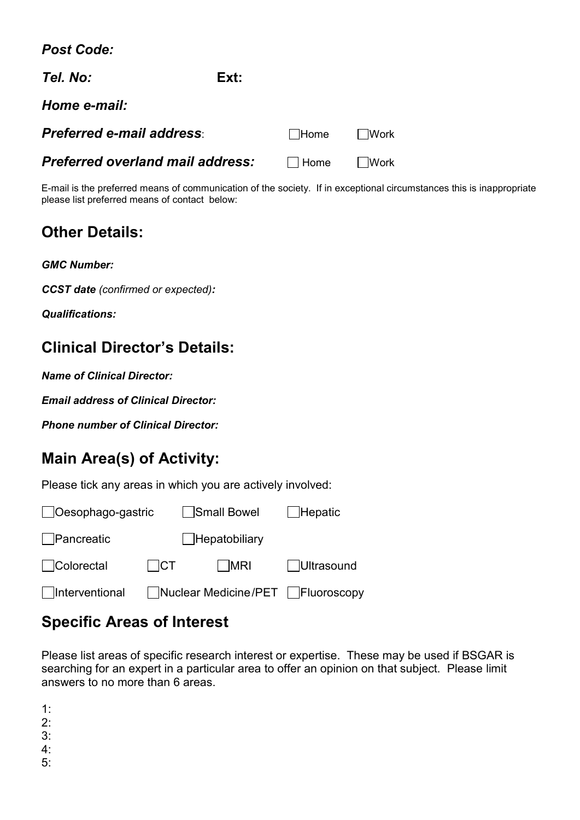Post Code:

| Tel. No:                         | Ext: |             |        |
|----------------------------------|------|-------------|--------|
| Home e-mail:                     |      |             |        |
| <b>Preferred e-mail address:</b> |      | $\Box$ Home | ∣ Work |
| Preferred overland mail address: |      | Home Work   |        |

E-mail is the preferred means of communication of the society. If in exceptional circumstances this is inappropriate please list preferred means of contact below:

### Other Details:

CCST date (confirmed or expected):

Qualifications:

# Clinical Director's Details:

Name of Clinical Director:

Email address of Clinical Director:

Phone number of Clinical Director:

## Main Area(s) of Activity:

Please tick any areas in which you are actively involved:

| $\Box$ Oesophago-gastric |       | Small Bowel                      | Hepatic           |  |  |
|--------------------------|-------|----------------------------------|-------------------|--|--|
| Pancreatic               |       | □Hepatobiliary                   |                   |  |  |
| □Colorectal              | I ICT | ∣ MRI                            | <b>Ultrasound</b> |  |  |
| $\vert$ Interventional   |       | Nuclear Medicine/PET Fluoroscopy |                   |  |  |

## Specific Areas of Interest

Please list areas of specific research interest or expertise. These may be used if BSGAR is searching for an expert in a particular area to offer an opinion on that subject. Please limit answers to no more than 6 areas.

1:

2: 3:

4: 5: